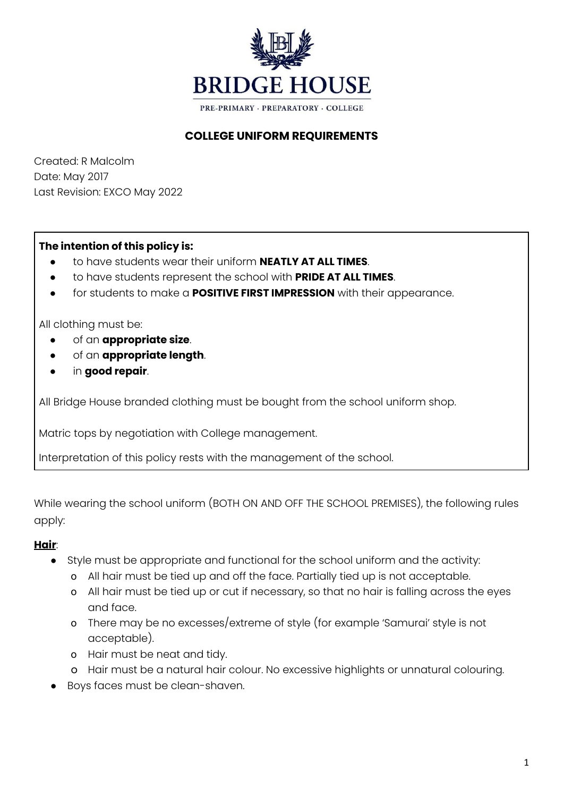

## **COLLEGE UNIFORM REQUIREMENTS**

Created: R Malcolm Date: May 2017 Last Revision: EXCO May 2022

#### **The intention of this policy is:**

- to have students wear their uniform **NEATLY AT ALL TIMES**.
- to have students represent the school with **PRIDE AT ALL TIMES**.
- for students to make a **POSITIVE FIRST IMPRESSION** with their appearance.

All clothing must be:

- of an **appropriate size**.
- of an **appropriate length**.
- in **good repair**.

All Bridge House branded clothing must be bought from the school uniform shop.

Matric tops by negotiation with College management.

Interpretation of this policy rests with the management of the school.

While wearing the school uniform (BOTH ON AND OFF THE SCHOOL PREMISES), the following rules apply:

#### **Hair**:

- Style must be appropriate and functional for the school uniform and the activity:
	- o All hair must be tied up and off the face. Partially tied up is not acceptable.
	- o All hair must be tied up or cut if necessary, so that no hair is falling across the eyes and face.
	- o There may be no excesses/extreme of style (for example 'Samurai' style is not acceptable).
	- o Hair must be neat and tidy.
	- o Hair must be a natural hair colour. No excessive highlights or unnatural colouring.
- Boys faces must be clean-shaven.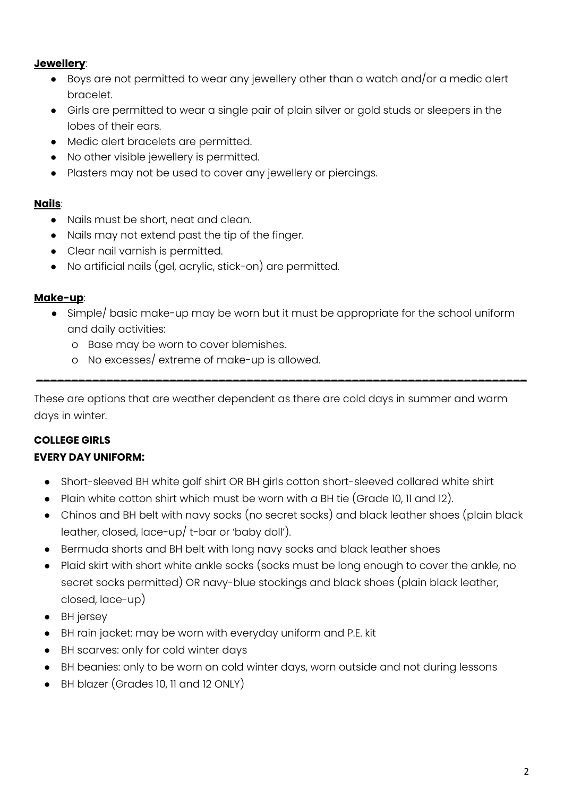## **Jewellery**:

- $\bullet$  Boys are not permitted to wear any jewellery other than a watch and/or a medic alert bracelet.
- Girls are permitted to wear a single pair of plain silver or gold studs or sleepers in the lobes of their ears.
- Medic alert bracelets are permitted.
- No other visible jewellery is permitted.
- Plasters may not be used to cover any jewellery or piercings.

## **Nails**:

- Nails must be short, neat and clean.
- Nails may not extend past the tip of the finger.
- Clear nail varnish is permitted.
- No artificial nails (gel, acrylic, stick-on) are permitted.

## **Make-up**:

**●** Simple/ basic make-up may be worn but it must be appropriate for the school uniform and daily activities:

\_\_\_\_\_\_\_\_\_\_\_\_\_\_\_\_\_\_\_\_\_\_\_\_\_\_\_\_\_\_\_\_\_\_\_\_\_\_\_\_\_\_\_\_\_\_\_\_\_\_\_\_\_\_\_\_\_\_\_\_\_\_\_\_\_\_\_\_\_\_

- o Base may be worn to cover blemishes.
- o No excesses/ extreme of make-up is allowed.

These are options that are weather dependent as there are cold days in summer and warm days in winter.

# **COLLEGE GIRLS**

## **EVERY DAY UNIFORM:**

- Short-sleeved BH white golf shirt OR BH girls cotton short-sleeved collared white shirt
- Plain white cotton shirt which must be worn with a BH tie (Grade 10, 11 and 12).
- Chinos and BH belt with navy socks (no secret socks) and black leather shoes (plain black leather, closed, lace-up/ t-bar or 'baby doll').
- Bermuda shorts and BH belt with long navy socks and black leather shoes
- Plaid skirt with short white ankle socks (socks must be long enough to cover the ankle, no secret socks permitted) OR navy-blue stockings and black shoes (plain black leather, closed, lace-up)
- BH jersey
- BH rain jacket: may be worn with everyday uniform and P.E. kit
- BH scarves: only for cold winter days
- BH beanies: only to be worn on cold winter days, worn outside and not during lessons
- BH blazer (Grades 10, 11 and 12 ONLY)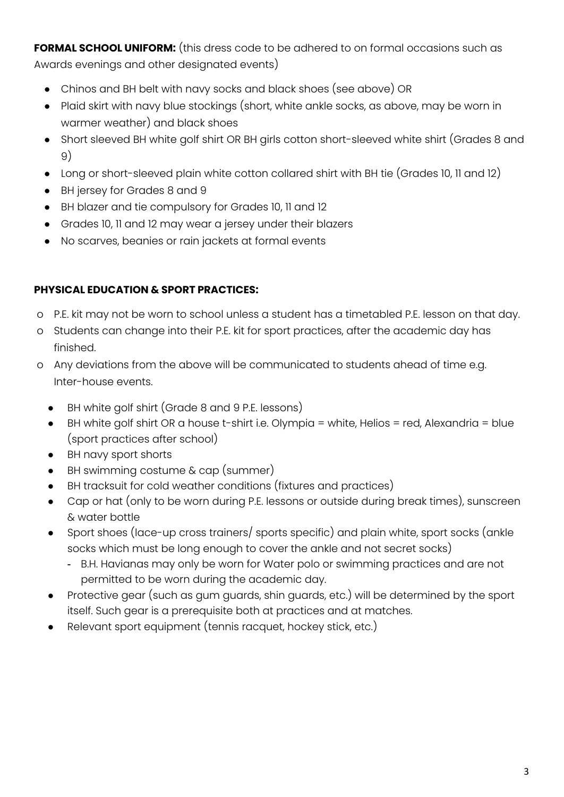**FORMAL SCHOOL UNIFORM:** (this dress code to be adhered to on formal occasions such as Awards evenings and other designated events)

- Chinos and BH belt with navy socks and black shoes (see above) OR
- Plaid skirt with navy blue stockings (short, white ankle socks, as above, may be worn in warmer weather) and black shoes
- Short sleeved BH white golf shirt OR BH girls cotton short-sleeved white shirt (Grades 8 and 9)
- Long or short-sleeved plain white cotton collared shirt with BH tie (Grades 10, 11 and 12)
- BH jersey for Grades 8 and 9
- BH blazer and tie compulsory for Grades 10, 11 and 12
- Grades 10, 11 and 12 may wear a jersey under their blazers
- No scarves, beanies or rain jackets at formal events

## **PHYSICAL EDUCATION & SPORT PRACTICES:**

- o P.E. kit may not be worn to school unless a student has a timetabled P.E. lesson on that day.
- o Students can change into their P.E. kit for sport practices, after the academic day has finished.
- o Any deviations from the above will be communicated to students ahead of time e.g. Inter-house events.
	- BH white golf shirt (Grade 8 and 9 P.E. lessons)
	- BH white golf shirt OR a house t-shirt i.e. Olympia = white, Helios = red, Alexandria = blue (sport practices after school)
	- BH navy sport shorts
	- BH swimming costume  $\&$  cap (summer)
	- BH tracksuit for cold weather conditions (fixtures and practices)
	- Cap or hat (only to be worn during P.E. lessons or outside during break times), sunscreen & water bottle
	- Sport shoes (lace-up cross trainers/ sports specific) and plain white, sport socks (ankle socks which must be long enough to cover the ankle and not secret socks)
		- B.H. Havianas may only be worn for Water polo or swimming practices and are not permitted to be worn during the academic day.
	- Protective gear (such as gum guards, shin guards, etc.) will be determined by the sport itself. Such gear is a prerequisite both at practices and at matches.
	- Relevant sport equipment (tennis racquet, hockey stick, etc.)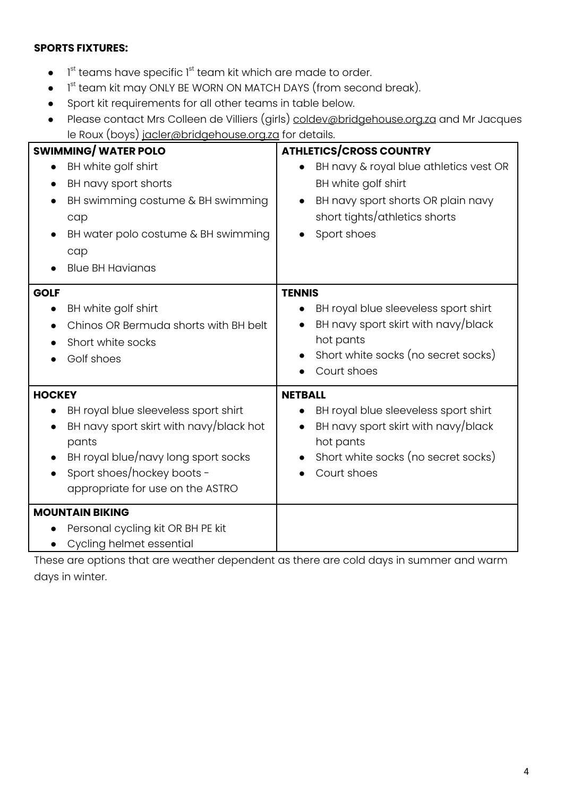#### **SPORTS FIXTURES:**

- $\bullet$  1<sup>st</sup> teams have specific 1<sup>st</sup> team kit which are made to order.
- $\bullet$  1<sup>st</sup> team kit may ONLY BE WORN ON MATCH DAYS (from second break).
- Sport kit requirements for all other teams in table below.
- Please contact Mrs Colleen de Villiers (girls) [coldev@bridgehouse.org.za](mailto:coldev@bridgehouse.org.za) and Mr Jacques le Roux (boys) [jacler@bridgehouse.org.za](mailto:jacler@bridgehouse.org.za) for details.

| <u> مسر</u> ر- ر- م<br><b>SWIMMING/WATER POLO</b><br>BH white golf shirt<br>BH navy sport shorts<br>BH swimming costume & BH swimming<br>cap<br>BH water polo costume & BH swimming                                             | <b>ATHLETICS/CROSS COUNTRY</b><br>BH navy & royal blue athletics vest OR<br>BH white golf shirt<br>BH navy sport shorts OR plain navy<br>short tights/athletics shorts<br>Sport shoes      |
|---------------------------------------------------------------------------------------------------------------------------------------------------------------------------------------------------------------------------------|--------------------------------------------------------------------------------------------------------------------------------------------------------------------------------------------|
| cap<br><b>Blue BH Havianas</b>                                                                                                                                                                                                  |                                                                                                                                                                                            |
| <b>GOLF</b><br>BH white golf shirt<br>Chinos OR Bermuda shorts with BH belt<br>Short white socks<br>Golf shoes                                                                                                                  | <b>TENNIS</b><br>BH royal blue sleeveless sport shirt<br>BH navy sport skirt with navy/black<br>hot pants<br>Short white socks (no secret socks)<br>Court shoes                            |
| <b>HOCKEY</b><br>BH royal blue sleeveless sport shirt<br>$\bullet$<br>BH navy sport skirt with navy/black hot<br>pants<br>BH royal blue/navy long sport socks<br>Sport shoes/hockey boots -<br>appropriate for use on the ASTRO | <b>NETBALL</b><br>BH royal blue sleeveless sport shirt<br>$\bullet$<br>BH navy sport skirt with navy/black<br>$\bullet$<br>hot pants<br>Short white socks (no secret socks)<br>Court shoes |
| <b>MOUNTAIN BIKING</b><br>Personal cycling kit OR BH PE kit<br>Cycling helmet essential<br>$\bullet$                                                                                                                            |                                                                                                                                                                                            |

These are options that are weather dependent as there are cold days in summer and warm days in winter.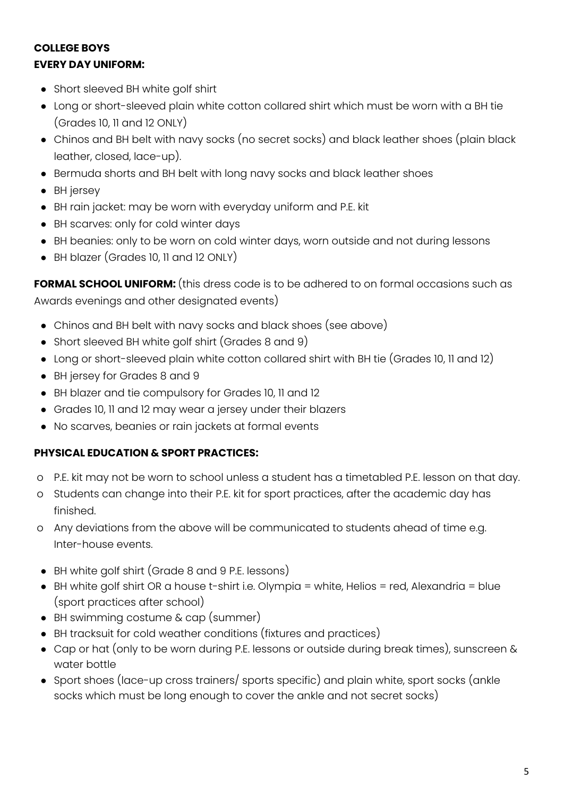# **COLLEGE BOYS EVERY DAY UNIFORM:**

- Short sleeved BH white golf shirt
- Long or short-sleeved plain white cotton collared shirt which must be worn with a BH tie (Grades 10, 11 and 12 ONLY)
- Chinos and BH belt with navy socks (no secret socks) and black leather shoes (plain black leather, closed, lace-up).
- Bermuda shorts and BH belt with long navy socks and black leather shoes
- BH jersey
- BH rain jacket: may be worn with everyday uniform and P.E. kit
- BH scarves: only for cold winter days
- BH beanies: only to be worn on cold winter days, worn outside and not during lessons
- BH blazer (Grades 10, 11 and 12 ONLY)

**FORMAL SCHOOL UNIFORM:** (this dress code is to be adhered to on formal occasions such as Awards evenings and other designated events)

- Chinos and BH belt with navy socks and black shoes (see above)
- Short sleeved BH white golf shirt (Grades 8 and 9)
- Long or short-sleeved plain white cotton collared shirt with BH tie (Grades 10, 11 and 12)
- BH jersey for Grades 8 and 9
- BH blazer and tie compulsory for Grades 10, 11 and 12
- Grades 10, 11 and 12 may wear a jersey under their blazers
- No scarves, beanies or rain jackets at formal events

## **PHYSICAL EDUCATION & SPORT PRACTICES:**

- o P.E. kit may not be worn to school unless a student has a timetabled P.E. lesson on that day.
- o Students can change into their P.E. kit for sport practices, after the academic day has finished.
- o Any deviations from the above will be communicated to students ahead of time e.g. Inter-house events.
- BH white golf shirt (Grade 8 and 9 P.E. lessons)
- BH white golf shirt OR a house t-shirt i.e. Olympia = white, Helios = red, Alexandria = blue (sport practices after school)
- BH swimming costume & cap (summer)
- BH tracksuit for cold weather conditions (fixtures and practices)
- Cap or hat (only to be worn during P.E. lessons or outside during break times), sunscreen & water bottle
- Sport shoes (lace-up cross trainers/ sports specific) and plain white, sport socks (ankle socks which must be long enough to cover the ankle and not secret socks)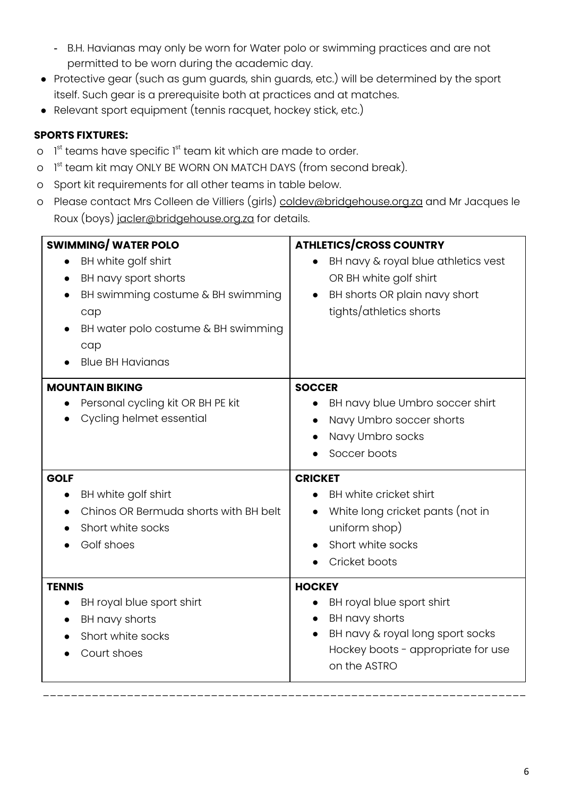- B.H. Havianas may only be worn for Water polo or swimming practices and are not permitted to be worn during the academic day.
- Protective gear (such as gum guards, shin guards, etc.) will be determined by the sport itself. Such gear is a prerequisite both at practices and at matches.
- Relevant sport equipment (tennis racquet, hockey stick, etc.)

# **SPORTS FIXTURES:**

- o l<sup>st</sup> teams have specific 1<sup>st</sup> team kit which are made to order.
- o 1<sup>st</sup> team kit may ONLY BE WORN ON MATCH DAYS (from second break).
- o Sport kit requirements for all other teams in table below.
- o Please contact Mrs Colleen de Villiers (girls) [coldev@bridgehouse.org.za](mailto:coldev@bridgehouse.org.za) and Mr Jacques le Roux (boys) [jacler@bridgehouse.org.za](mailto:jacler@bridgehouse.org.za) for details.

| <b>SWIMMING/WATER POLO</b><br>BH white golf shirt<br>$\bullet$<br>BH navy sport shorts<br>BH swimming costume & BH swimming<br>cap<br>BH water polo costume & BH swimming<br>cap<br><b>Blue BH Havianas</b> | <b>ATHLETICS/CROSS COUNTRY</b><br>BH navy & royal blue athletics vest<br>OR BH white golf shirt<br>BH shorts OR plain navy short<br>tights/athletics shorts |
|-------------------------------------------------------------------------------------------------------------------------------------------------------------------------------------------------------------|-------------------------------------------------------------------------------------------------------------------------------------------------------------|
| <b>MOUNTAIN BIKING</b><br>Personal cycling kit OR BH PE kit<br>Cycling helmet essential                                                                                                                     | <b>SOCCER</b><br>BH navy blue Umbro soccer shirt<br>Navy Umbro soccer shorts<br>Navy Umbro socks<br>Soccer boots                                            |
| <b>GOLF</b><br>BH white golf shirt<br>$\bullet$<br>Chinos OR Bermuda shorts with BH belt<br>Short white socks<br>Golf shoes                                                                                 | <b>CRICKET</b><br>BH white cricket shirt<br>White long cricket pants (not in<br>uniform shop)<br>Short white socks<br>Cricket boots                         |
| <b>TENNIS</b><br>BH royal blue sport shirt<br>BH navy shorts<br>Short white socks<br>Court shoes                                                                                                            | <b>HOCKEY</b><br>BH royal blue sport shirt<br>BH navy shorts<br>BH navy & royal long sport socks<br>Hockey boots - appropriate for use<br>on the ASTRO      |

\_\_\_\_\_\_\_\_\_\_\_\_\_\_\_\_\_\_\_\_\_\_\_\_\_\_\_\_\_\_\_\_\_\_\_\_\_\_\_\_\_\_\_\_\_\_\_\_\_\_\_\_\_\_\_\_\_\_\_\_\_\_\_\_\_\_\_\_\_